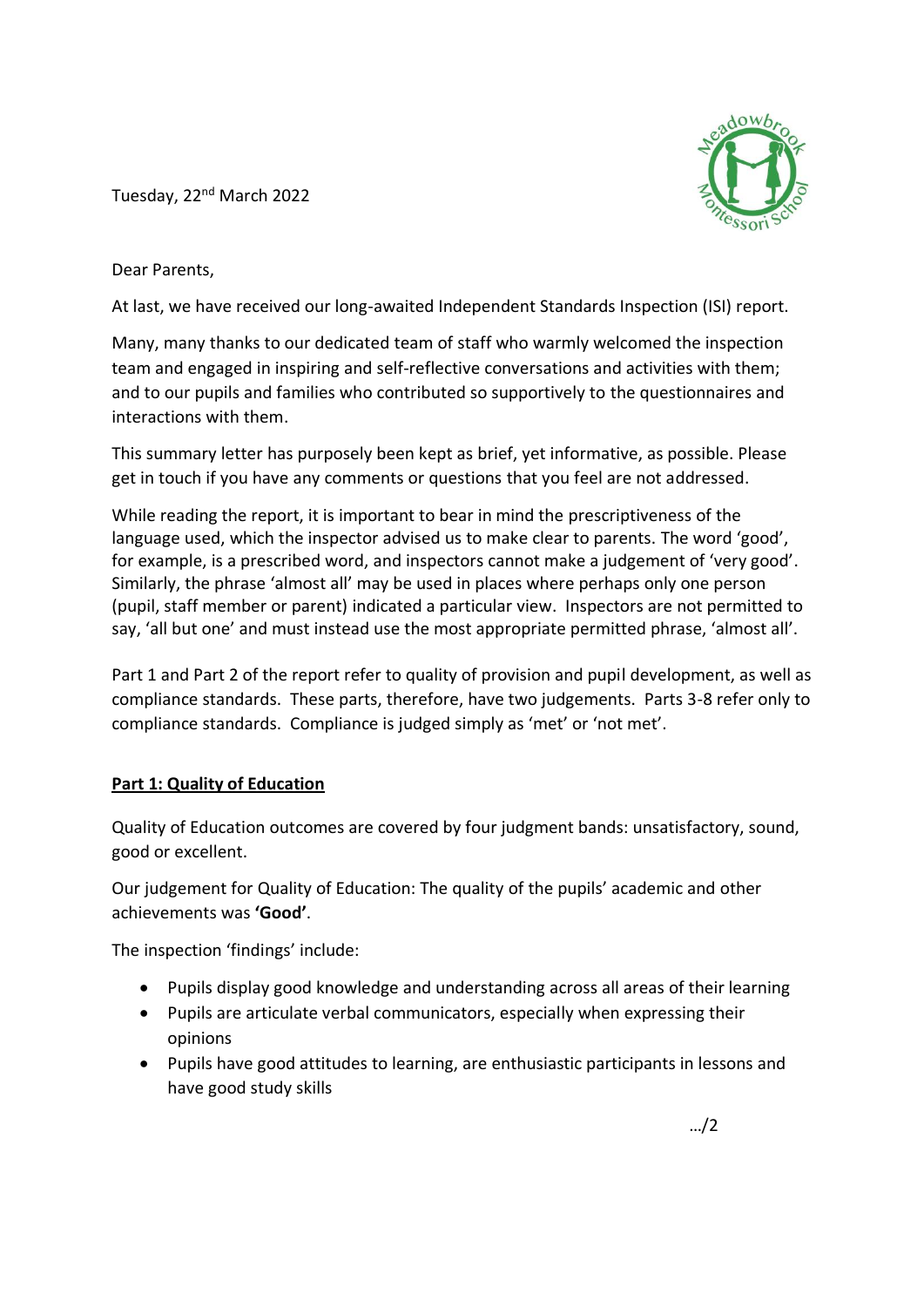Tuesday, 22<sup>nd</sup> March 2022



Dear Parents,

At last, we have received our long-awaited Independent Standards Inspection (ISI) report.

Many, many thanks to our dedicated team of staff who warmly welcomed the inspection team and engaged in inspiring and self-reflective conversations and activities with them; and to our pupils and families who contributed so supportively to the questionnaires and interactions with them.

This summary letter has purposely been kept as brief, yet informative, as possible. Please get in touch if you have any comments or questions that you feel are not addressed.

While reading the report, it is important to bear in mind the prescriptiveness of the language used, which the inspector advised us to make clear to parents. The word 'good', for example, is a prescribed word, and inspectors cannot make a judgement of 'very good'. Similarly, the phrase 'almost all' may be used in places where perhaps only one person (pupil, staff member or parent) indicated a particular view. Inspectors are not permitted to say, 'all but one' and must instead use the most appropriate permitted phrase, 'almost all'.

Part 1 and Part 2 of the report refer to quality of provision and pupil development, as well as compliance standards. These parts, therefore, have two judgements. Parts 3-8 refer only to compliance standards. Compliance is judged simply as 'met' or 'not met'.

## **Part 1: Quality of Education**

Quality of Education outcomes are covered by four judgment bands: unsatisfactory, sound, good or excellent.

Our judgement for Quality of Education: The quality of the pupils' academic and other achievements was **'Good'**.

The inspection 'findings' include:

- Pupils display good knowledge and understanding across all areas of their learning
- Pupils are articulate verbal communicators, especially when expressing their opinions
- Pupils have good attitudes to learning, are enthusiastic participants in lessons and have good study skills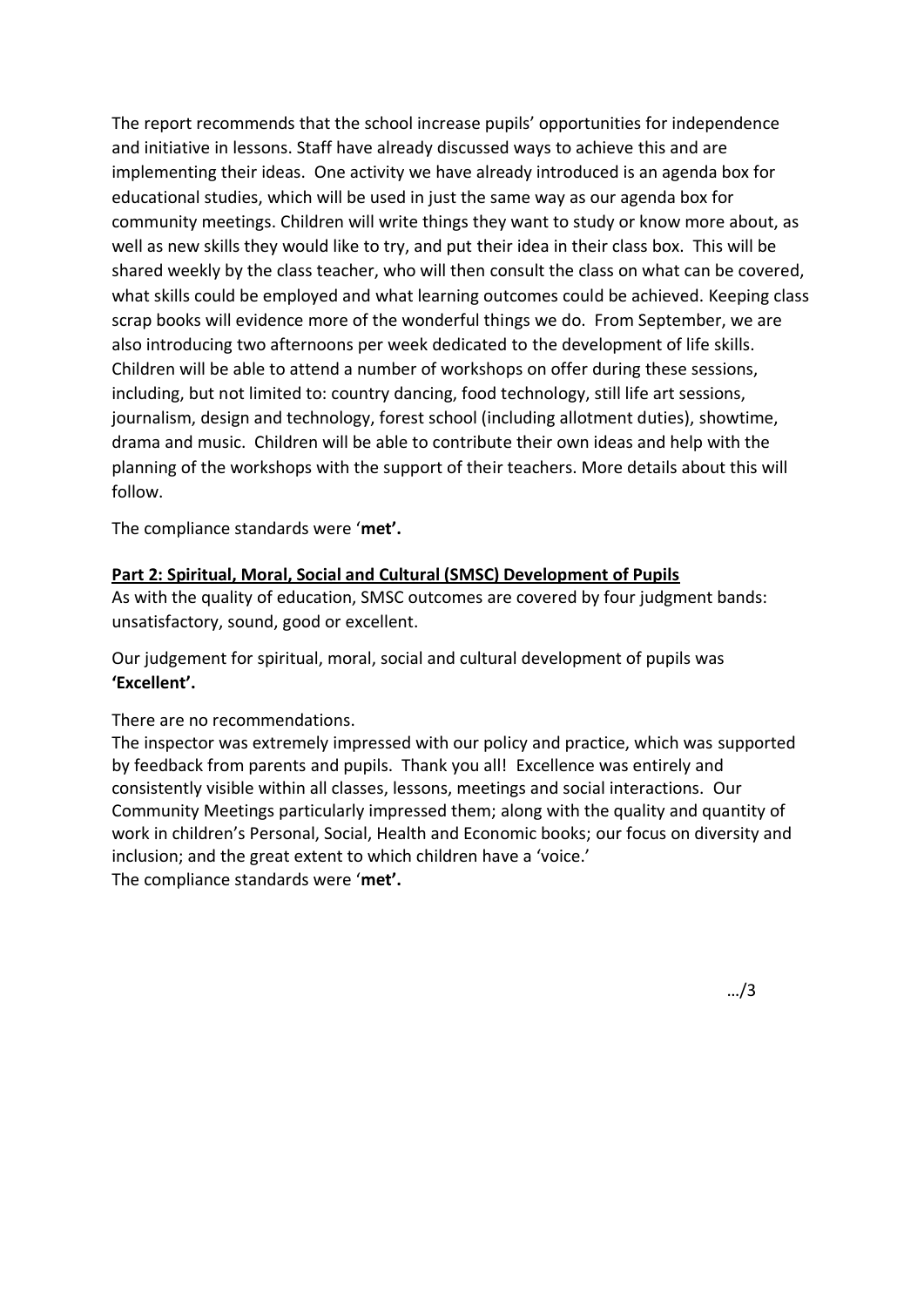The report recommends that the school increase pupils' opportunities for independence and initiative in lessons. Staff have already discussed ways to achieve this and are implementing their ideas. One activity we have already introduced is an agenda box for educational studies, which will be used in just the same way as our agenda box for community meetings. Children will write things they want to study or know more about, as well as new skills they would like to try, and put their idea in their class box. This will be shared weekly by the class teacher, who will then consult the class on what can be covered, what skills could be employed and what learning outcomes could be achieved. Keeping class scrap books will evidence more of the wonderful things we do. From September, we are also introducing two afternoons per week dedicated to the development of life skills. Children will be able to attend a number of workshops on offer during these sessions, including, but not limited to: country dancing, food technology, still life art sessions, journalism, design and technology, forest school (including allotment duties), showtime, drama and music. Children will be able to contribute their own ideas and help with the planning of the workshops with the support of their teachers. More details about this will follow.

The compliance standards were '**met'.**

#### **Part 2: Spiritual, Moral, Social and Cultural (SMSC) Development of Pupils**

As with the quality of education, SMSC outcomes are covered by four judgment bands: unsatisfactory, sound, good or excellent.

Our judgement for spiritual, moral, social and cultural development of pupils was **'Excellent'.**

#### There are no recommendations.

The inspector was extremely impressed with our policy and practice, which was supported by feedback from parents and pupils. Thank you all! Excellence was entirely and consistently visible within all classes, lessons, meetings and social interactions. Our Community Meetings particularly impressed them; along with the quality and quantity of work in children's Personal, Social, Health and Economic books; our focus on diversity and inclusion; and the great extent to which children have a 'voice.' The compliance standards were '**met'.**

…/3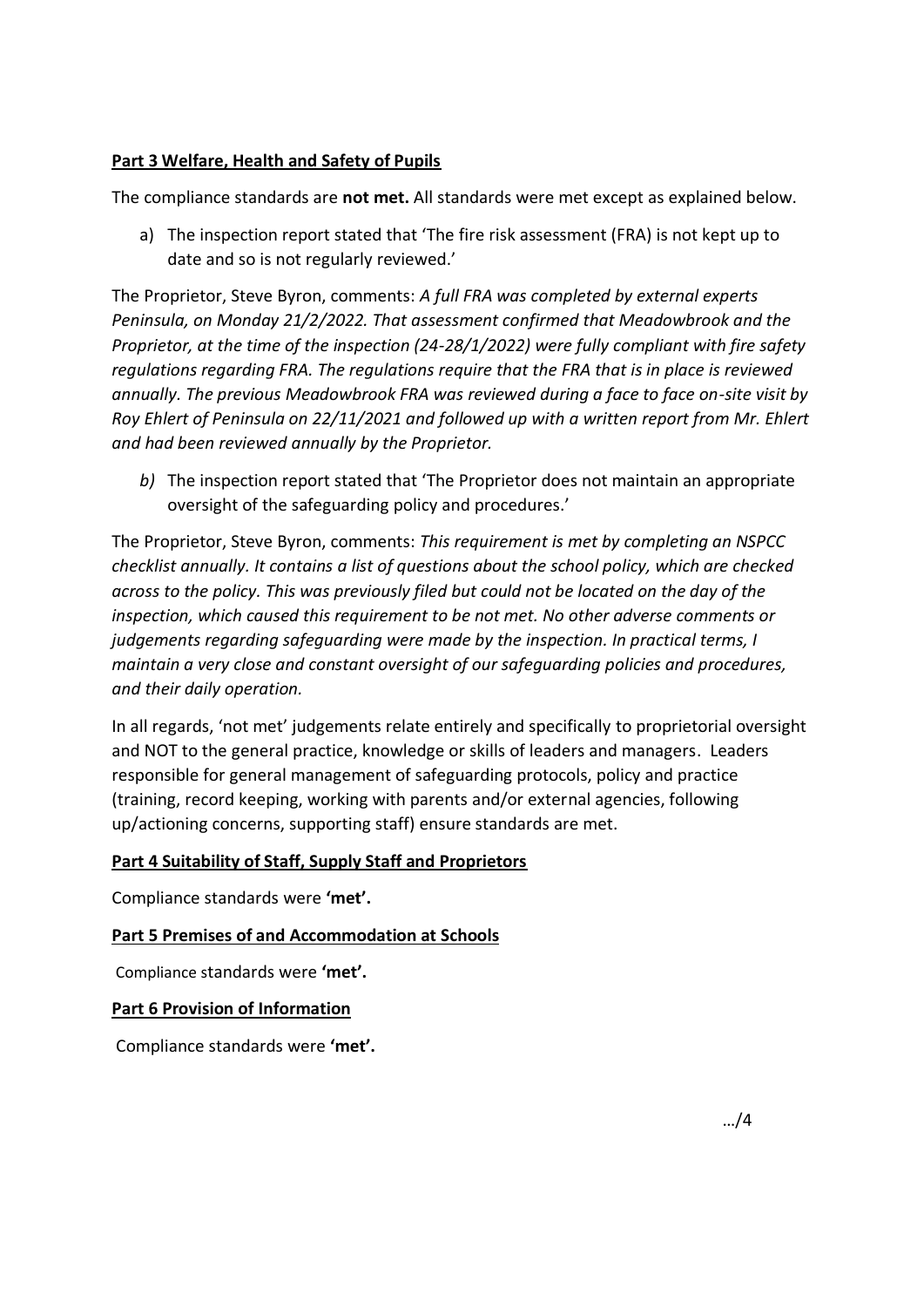# **Part 3 Welfare, Health and Safety of Pupils**

The compliance standards are **not met.** All standards were met except as explained below.

a) The inspection report stated that 'The fire risk assessment (FRA) is not kept up to date and so is not regularly reviewed.'

The Proprietor, Steve Byron, comments: *A full FRA was completed by external experts Peninsula, on Monday 21/2/2022. That assessment confirmed that Meadowbrook and the Proprietor, at the time of the inspection (24-28/1/2022) were fully compliant with fire safety regulations regarding FRA. The regulations require that the FRA that is in place is reviewed annually. The previous Meadowbrook FRA was reviewed during a face to face on-site visit by Roy Ehlert of Peninsula on 22/11/2021 and followed up with a written report from Mr. Ehlert and had been reviewed annually by the Proprietor.*

*b)* The inspection report stated that 'The Proprietor does not maintain an appropriate oversight of the safeguarding policy and procedures.'

The Proprietor, Steve Byron, comments: *This requirement is met by completing an NSPCC checklist annually. It contains a list of questions about the school policy, which are checked across to the policy. This was previously filed but could not be located on the day of the inspection, which caused this requirement to be not met. No other adverse comments or judgements regarding safeguarding were made by the inspection. In practical terms, I maintain a very close and constant oversight of our safeguarding policies and procedures, and their daily operation.*

In all regards, 'not met' judgements relate entirely and specifically to proprietorial oversight and NOT to the general practice, knowledge or skills of leaders and managers. Leaders responsible for general management of safeguarding protocols, policy and practice (training, record keeping, working with parents and/or external agencies, following up/actioning concerns, supporting staff) ensure standards are met.

## **Part 4 Suitability of Staff, Supply Staff and Proprietors**

Compliance standards were **'met'.** 

## **Part 5 Premises of and Accommodation at Schools**

Compliance standards were **'met'.** 

#### **Part 6 Provision of Information**

Compliance standards were **'met'.**